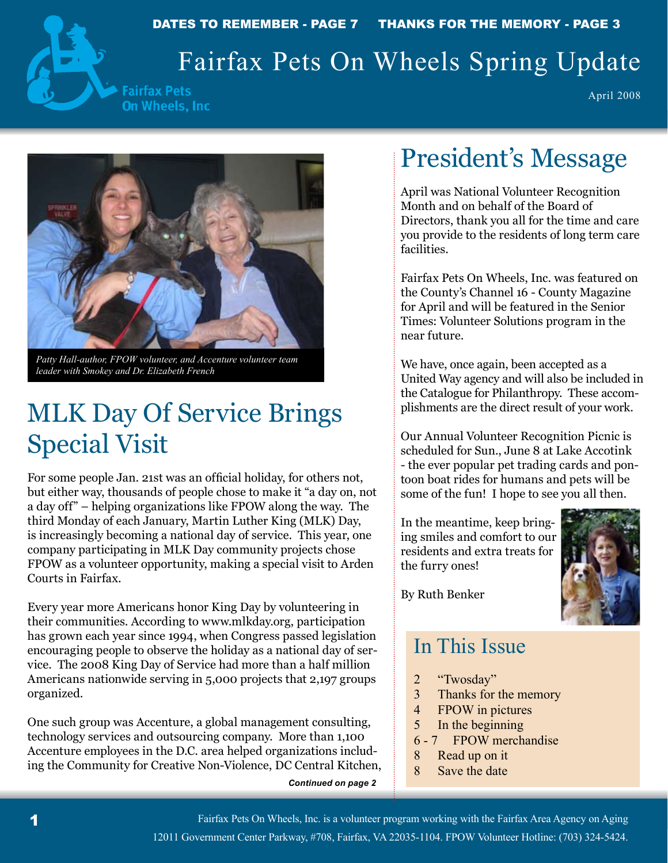

DATES TO REMEMBER - PAGE 7 THANKS FOR THE MEMORY - PAGE 3

# Fairfax Pets On Wheels Spring Update

**Fairfax Pets** On Wheels, Inc.

April 2008



*Patty Hall-author, FPOW volunteer, and Accenture volunteer team leader with Smokey and Dr. Elizabeth French*

# MLK Day Of Service Brings Special Visit

For some people Jan. 21st was an official holiday, for others not, but either way, thousands of people chose to make it "a day on, not a day off" – helping organizations like FPOW along the way. The third Monday of each January, Martin Luther King (MLK) Day, is increasingly becoming a national day of service. This year, one company participating in MLK Day community projects chose FPOW as a volunteer opportunity, making a special visit to Arden Courts in Fairfax.

Every year more Americans honor King Day by volunteering in their communities. According to www.mlkday.org, participation has grown each year since 1994, when Congress passed legislation encouraging people to observe the holiday as a national day of service. The 2008 King Day of Service had more than a half million Americans nationwide serving in 5,000 projects that 2,197 groups organized.

One such group was Accenture, a global management consulting, technology services and outsourcing company. More than 1,100 Accenture employees in the D.C. area helped organizations including the Community for Creative Non-Violence, DC Central Kitchen,

*Continued on page 2*

# President's Message

April was National Volunteer Recognition Month and on behalf of the Board of Directors, thank you all for the time and care you provide to the residents of long term care facilities.

Fairfax Pets On Wheels, Inc. was featured on the County's Channel 16 - County Magazine for April and will be featured in the Senior Times: Volunteer Solutions program in the near future.

We have, once again, been accepted as a United Way agency and will also be included in the Catalogue for Philanthropy. These accomplishments are the direct result of your work.

Our Annual Volunteer Recognition Picnic is scheduled for Sun., June 8 at Lake Accotink - the ever popular pet trading cards and pontoon boat rides for humans and pets will be some of the fun! I hope to see you all then.

In the meantime, keep bringing smiles and comfort to our residents and extra treats for the furry ones!



By Ruth Benker

### In This Issue

- 2 "Twosday"
- 3 Thanks for the memory
- 4 FPOW in pictures
- 5 In the beginning
- 6 7 FPOW merchandise
- 8 Read up on it
- 8 Save the date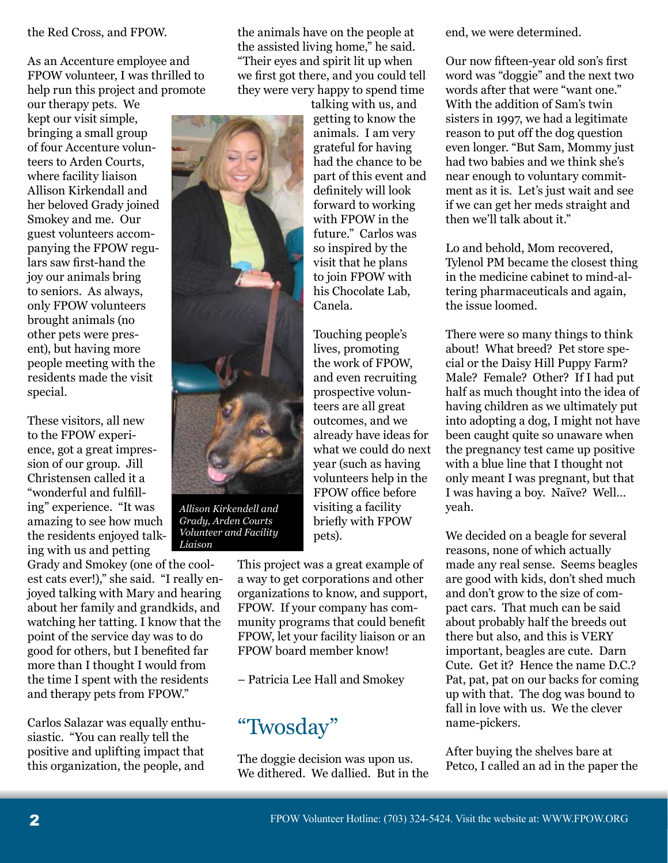#### the Red Cross, and FPOW.

As an Accenture employee and FPOW volunteer, I was thrilled to help run this project and promote

our therapy pets. We kept our visit simple, bringing a small group of four Accenture volunteers to Arden Courts, where facility liaison Allison Kirkendall and her beloved Grady joined Smokey and me. Our guest volunteers accompanying the FPOW regulars saw first-hand the joy our animals bring to seniors. As always, only FPOW volunteers brought animals (no other pets were present), but having more people meeting with the residents made the visit special.

These visitors, all new to the FPOW experience, got a great impression of our group. Jill Christensen called it a "wonderful and fulfilling" experience. "It was amazing to see how much the residents enjoyed talking with us and petting

Grady and Smokey (one of the coolest cats ever!)," she said. "I really enjoyed talking with Mary and hearing about her family and grandkids, and watching her tatting. I know that the point of the service day was to do good for others, but I benefited far more than I thought I would from the time I spent with the residents and therapy pets from FPOW."

Carlos Salazar was equally enthusiastic. "You can really tell the positive and uplifting impact that this organization, the people, and the animals have on the people at the assisted living home," he said. "Their eyes and spirit lit up when we first got there, and you could tell they were very happy to spend time

> talking with us, and getting to know the animals. I am very grateful for having had the chance to be part of this event and definitely will look forward to working with FPOW in the future." Carlos was so inspired by the visit that he plans to join FPOW with his Chocolate Lab, Canela. Touching people's

lives, promoting the work of FPOW, and even recruiting prospective volunteers are all great outcomes, and we already have ideas for what we could do next year (such as having volunteers help in the FPOW office before visiting a facility briefly with FPOW pets).

This project was a great example of a way to get corporations and other organizations to know, and support, FPOW. If your company has community programs that could benefit FPOW, let your facility liaison or an FPOW board member know!

– Patricia Lee Hall and Smokey

"Twosday"

The doggie decision was upon us. We dithered. We dallied. But in the end, we were determined.

Our now fifteen-year old son's first word was "doggie" and the next two words after that were "want one." With the addition of Sam's twin sisters in 1997, we had a legitimate reason to put off the dog question even longer. "But Sam, Mommy just had two babies and we think she's near enough to voluntary commitment as it is. Let's just wait and see if we can get her meds straight and then we'll talk about it."

Lo and behold, Mom recovered, Tylenol PM became the closest thing in the medicine cabinet to mind-altering pharmaceuticals and again, the issue loomed.

There were so many things to think about! What breed? Pet store special or the Daisy Hill Puppy Farm? Male? Female? Other? If I had put half as much thought into the idea of having children as we ultimately put into adopting a dog, I might not have been caught quite so unaware when the pregnancy test came up positive with a blue line that I thought not only meant I was pregnant, but that I was having a boy. Naïve? Well… yeah.

We decided on a beagle for several reasons, none of which actually made any real sense. Seems beagles are good with kids, don't shed much and don't grow to the size of compact cars. That much can be said about probably half the breeds out there but also, and this is VERY important, beagles are cute. Darn Cute. Get it? Hence the name D.C.? Pat, pat, pat on our backs for coming up with that. The dog was bound to fall in love with us. We the clever name-pickers.

After buying the shelves bare at Petco, I called an ad in the paper the



*Allison Kirkendell and Grady, Arden Courts Volunteer and Facility* 

*Liaison*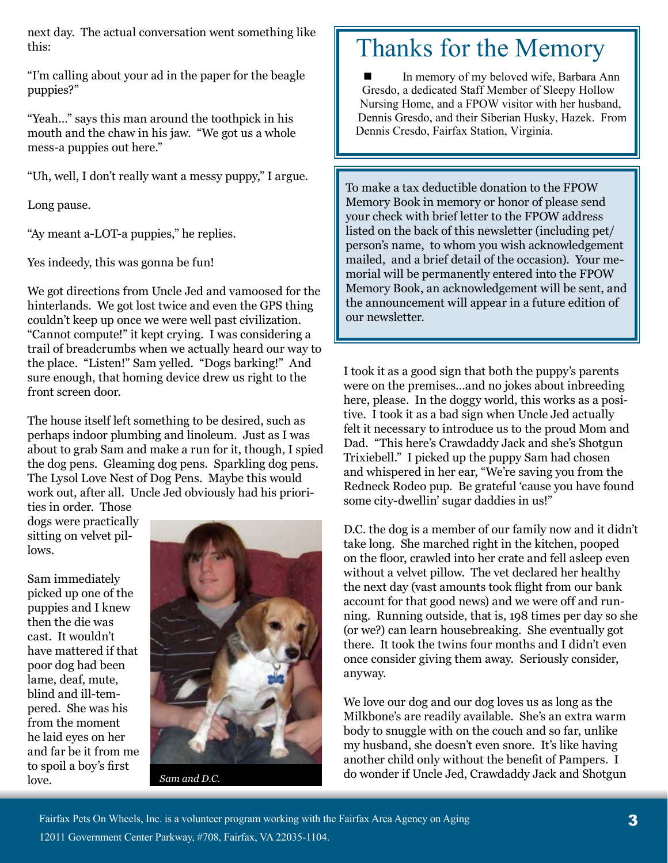next day. The actual conversation went something like this:

"I'm calling about your ad in the paper for the beagle puppies?"

"Yeah…" says this man around the toothpick in his mouth and the chaw in his jaw. "We got us a whole mess-a puppies out here."

"Uh, well, I don't really want a messy puppy," I argue.

Long pause.

"Ay meant a-LOT-a puppies," he replies.

Yes indeedy, this was gonna be fun!

We got directions from Uncle Jed and vamoosed for the hinterlands. We got lost twice and even the GPS thing couldn't keep up once we were well past civilization. "Cannot compute!" it kept crying. I was considering a trail of breadcrumbs when we actually heard our way to the place. "Listen!" Sam yelled. "Dogs barking!" And sure enough, that homing device drew us right to the front screen door.

The house itself left something to be desired, such as perhaps indoor plumbing and linoleum. Just as I was about to grab Sam and make a run for it, though, I spied the dog pens. Gleaming dog pens. Sparkling dog pens. The Lysol Love Nest of Dog Pens. Maybe this would work out, after all. Uncle Jed obviously had his priori-

ties in order. Those dogs were practically sitting on velvet pillows.

Sam immediately picked up one of the puppies and I knew then the die was cast. It wouldn't have mattered if that poor dog had been lame, deaf, mute, blind and ill-tempered. She was his from the moment he laid eyes on her and far be it from me to spoil a boy's first love.



*Sam and D.C.*

## Thanks for the Memory

In memory of my beloved wife, Barbara Ann Gresdo, a dedicated Staff Member of Sleepy Hollow Nursing Home, and a FPOW visitor with her husband, Dennis Gresdo, and their Siberian Husky, Hazek. From Dennis Cresdo, Fairfax Station, Virginia. ■

To make a tax deductible donation to the FPOW Memory Book in memory or honor of please send your check with brief letter to the FPOW address listed on the back of this newsletter (including pet/ person's name, to whom you wish acknowledgement mailed, and a brief detail of the occasion). Your memorial will be permanently entered into the FPOW Memory Book, an acknowledgement will be sent, and the announcement will appear in a future edition of our newsletter.

I took it as a good sign that both the puppy's parents were on the premises…and no jokes about inbreeding here, please. In the doggy world, this works as a positive. I took it as a bad sign when Uncle Jed actually felt it necessary to introduce us to the proud Mom and Dad. "This here's Crawdaddy Jack and she's Shotgun Trixiebell." I picked up the puppy Sam had chosen and whispered in her ear, "We're saving you from the Redneck Rodeo pup. Be grateful 'cause you have found some city-dwellin' sugar daddies in us!"

D.C. the dog is a member of our family now and it didn't take long. She marched right in the kitchen, pooped on the floor, crawled into her crate and fell asleep even without a velvet pillow. The vet declared her healthy the next day (vast amounts took flight from our bank account for that good news) and we were off and running. Running outside, that is, 198 times per day so she (or we?) can learn housebreaking. She eventually got there. It took the twins four months and I didn't even once consider giving them away. Seriously consider, anyway.

We love our dog and our dog loves us as long as the Milkbone's are readily available. She's an extra warm body to snuggle with on the couch and so far, unlike my husband, she doesn't even snore. It's like having another child only without the benefit of Pampers. I do wonder if Uncle Jed, Crawdaddy Jack and Shotgun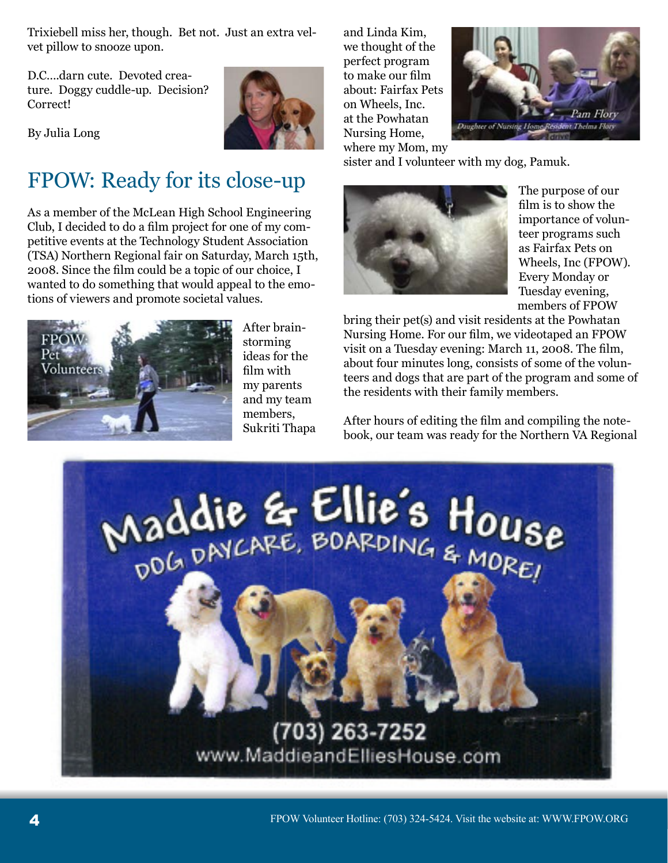Trixiebell miss her, though. Bet not. Just an extra velvet pillow to snooze upon.

D.C. darn cute. Devoted creature. Doggy cuddle-up. Decision? Correct!



By Julia Long

## FPOW: Ready for its close-up

As a member of the McLean High School Engineering Club, I decided to do a film project for one of my competitive events at the Technology Student Association (TSA) Northern Regional fair on Saturday, March 15th, 2008. Since the film could be a topic of our choice, I wanted to do something that would appeal to the emotions of viewers and promote societal values.



After brainstorming ideas for the film with my parents and my team members, Sukriti Thapa and Linda Kim, we thought of the perfect program to make our film about: Fairfax Pets on Wheels, Inc. at the Powhatan Nursing Home, where my Mom, my



sister and I volunteer with my dog, Pamuk.



The purpose of our film is to show the importance of volunteer programs such as Fairfax Pets on Wheels, Inc (FPOW). Every Monday or Tuesday evening, members of FPOW

bring their pet(s) and visit residents at the Powhatan Nursing Home. For our film, we videotaped an FPOW visit on a Tuesday evening: March 11, 2008. The film, about four minutes long, consists of some of the volunteers and dogs that are part of the program and some of the residents with their family members.

After hours of editing the film and compiling the notebook, our team was ready for the Northern VA Regional

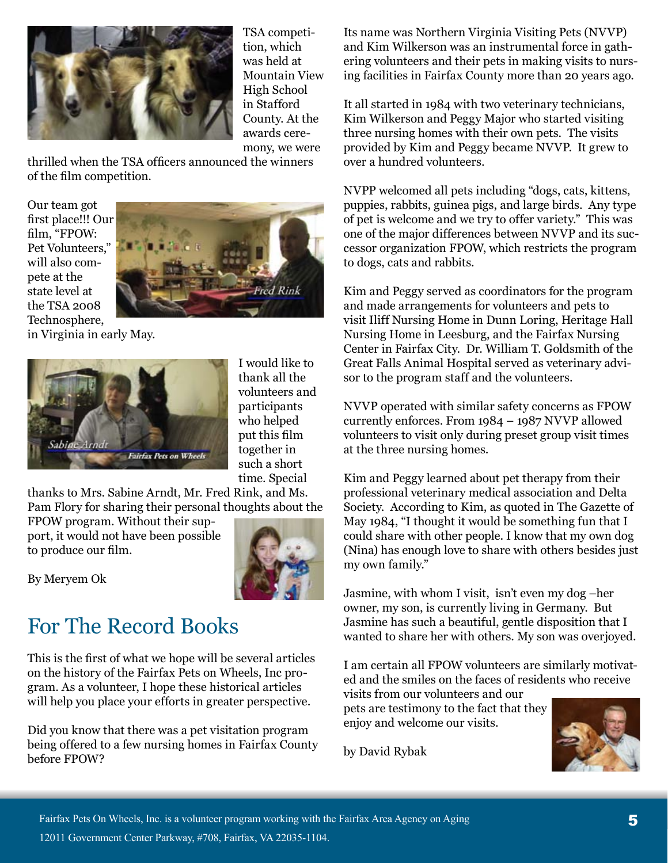

TSA competition, which was held at Mountain View High School in Stafford County. At the awards ceremony, we were

thrilled when the TSA officers announced the winners of the film competition.

Our team got first place!!! Our film, "FPOW: Pet Volunteers," will also compete at the state level at the TSA 2008 Technosphere,



in Virginia in early May.



I would like to thank all the volunteers and participants who helped put this film together in such a short time. Special

thanks to Mrs. Sabine Arndt, Mr. Fred Rink, and Ms. Pam Flory for sharing their personal thoughts about the

FPOW program. Without their support, it would not have been possible to produce our film.



By Meryem Ok

## For The Record Books

This is the first of what we hope will be several articles on the history of the Fairfax Pets on Wheels, Inc program. As a volunteer, I hope these historical articles will help you place your efforts in greater perspective.

Did you know that there was a pet visitation program being offered to a few nursing homes in Fairfax County before FPOW?

Its name was Northern Virginia Visiting Pets (NVVP) and Kim Wilkerson was an instrumental force in gathering volunteers and their pets in making visits to nursing facilities in Fairfax County more than 20 years ago.

It all started in 1984 with two veterinary technicians, Kim Wilkerson and Peggy Major who started visiting three nursing homes with their own pets. The visits provided by Kim and Peggy became NVVP. It grew to over a hundred volunteers.

NVPP welcomed all pets including "dogs, cats, kittens, puppies, rabbits, guinea pigs, and large birds. Any type of pet is welcome and we try to offer variety." This was one of the major differences between NVVP and its successor organization FPOW, which restricts the program to dogs, cats and rabbits.

Kim and Peggy served as coordinators for the program and made arrangements for volunteers and pets to visit Iliff Nursing Home in Dunn Loring, Heritage Hall Nursing Home in Leesburg, and the Fairfax Nursing Center in Fairfax City. Dr. William T. Goldsmith of the Great Falls Animal Hospital served as veterinary advisor to the program staff and the volunteers.

NVVP operated with similar safety concerns as FPOW currently enforces. From 1984 – 1987 NVVP allowed volunteers to visit only during preset group visit times at the three nursing homes.

Kim and Peggy learned about pet therapy from their professional veterinary medical association and Delta Society. According to Kim, as quoted in The Gazette of May 1984, "I thought it would be something fun that I could share with other people. I know that my own dog (Nina) has enough love to share with others besides just my own family."

Jasmine, with whom I visit, isn't even my dog –her owner, my son, is currently living in Germany. But Jasmine has such a beautiful, gentle disposition that I wanted to share her with others. My son was overjoyed.

I am certain all FPOW volunteers are similarly motivated and the smiles on the faces of residents who receive

visits from our volunteers and our pets are testimony to the fact that they enjoy and welcome our visits.

by David Rybak

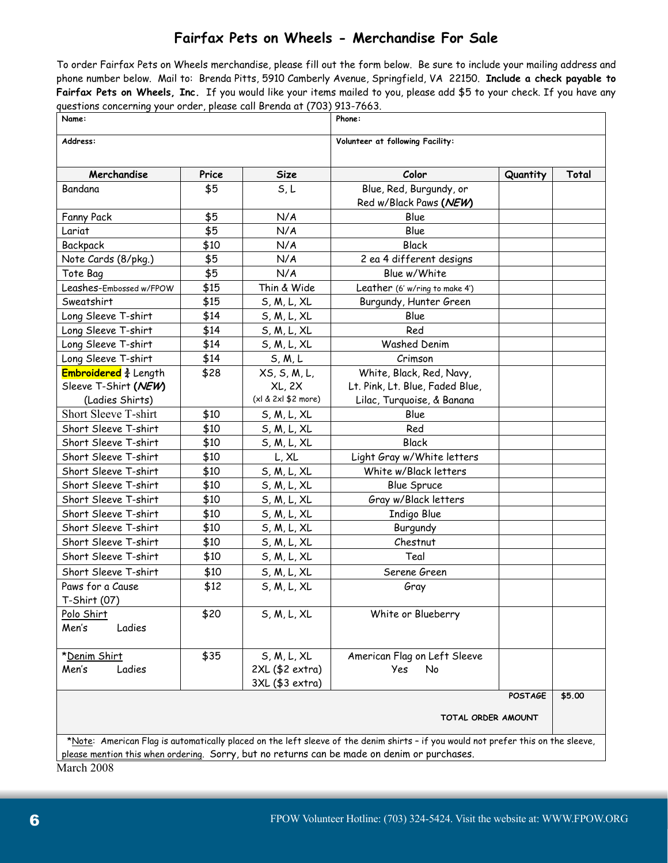#### **Fairfax Pets on Wheels - Merchandise For Sale**

To order Fairfax Pets on Wheels merchandise, please fill out the form below. Be sure to include your mailing address and phone number below. Mail to: Brenda Pitts, 5910 Camberly Avenue, Springfield, VA 22150. **Include a check payable to Fairfax Pets on Wheels, Inc.** If you would like your items mailed to you, please add \$5 to your check. If you have any questions concerning your order, please call Brenda at (703) 913-7663.

| Name:                                                                                                                             |       |                     | Phone:                           |          |        |
|-----------------------------------------------------------------------------------------------------------------------------------|-------|---------------------|----------------------------------|----------|--------|
| Address:                                                                                                                          |       |                     | Volunteer at following Facility: |          |        |
| Merchandise                                                                                                                       | Price | <b>Size</b>         | Color                            | Quantity | Total  |
| Bandana                                                                                                                           | \$5   | 5, L                | Blue, Red, Burgundy, or          |          |        |
|                                                                                                                                   |       |                     | Red w/Black Paws (NEW)           |          |        |
| Fanny Pack                                                                                                                        | \$5   | N/A                 | Blue                             |          |        |
| Lariat                                                                                                                            | \$5   | N/A                 | Blue                             |          |        |
| Backpack                                                                                                                          | \$10  | N/A                 | <b>Black</b>                     |          |        |
| Note Cards (8/pkg.)                                                                                                               | \$5   | N/A                 | 2 ea 4 different designs         |          |        |
| Tote Bag                                                                                                                          | \$5   | N/A                 | Blue w/White                     |          |        |
| Leashes-Embossed w/FPOW                                                                                                           | \$15  | Thin & Wide         | Leather (6' w/ring to make 4')   |          |        |
| Sweatshirt                                                                                                                        | \$15  | S, M, L, XL         | Burgundy, Hunter Green           |          |        |
| Long Sleeve T-shirt                                                                                                               | \$14  | S, M, L, XL         | Blue                             |          |        |
| Long Sleeve T-shirt                                                                                                               | \$14  | S, M, L, XL         | Red                              |          |        |
| Long Sleeve T-shirt                                                                                                               | \$14  | S, M, L, XL         | <b>Washed Denim</b>              |          |        |
| Long Sleeve T-shirt                                                                                                               | \$14  | S, M, L             | Crimson                          |          |        |
| Embroidered $\frac{3}{4}$ Length                                                                                                  | \$28  | XS, S, M, L,        | White, Black, Red, Navy,         |          |        |
| Sleeve T-Shirt (NEW)                                                                                                              |       | <b>XL, 2X</b>       | Lt. Pink, Lt. Blue, Faded Blue,  |          |        |
| (Ladies Shirts)                                                                                                                   |       | (xl & 2xl \$2 more) | Lilac, Turquoise, & Banana       |          |        |
| Short Sleeve T-shirt                                                                                                              | \$10  | S, M, L, XL         | Blue                             |          |        |
| Short Sleeve T-shirt                                                                                                              | \$10  | S, M, L, XL         | Red                              |          |        |
| Short Sleeve T-shirt                                                                                                              | \$10  | S, M, L, XL         | <b>Black</b>                     |          |        |
| Short Sleeve T-shirt                                                                                                              | \$10  | L, XL               | Light Gray w/White letters       |          |        |
| Short Sleeve T-shirt                                                                                                              | \$10  | S, M, L, XL         | White w/Black letters            |          |        |
| Short Sleeve T-shirt                                                                                                              | \$10  | S, M, L, XL         | <b>Blue Spruce</b>               |          |        |
| Short Sleeve T-shirt                                                                                                              | \$10  | S, M, L, XL         | Gray w/Black letters             |          |        |
| Short Sleeve T-shirt                                                                                                              | \$10  | S, M, L, XL         | Indigo Blue                      |          |        |
| Short Sleeve T-shirt                                                                                                              | \$10  | S, M, L, XL         | Burgundy                         |          |        |
| Short Sleeve T-shirt                                                                                                              | \$10  | S, M, L, XL         | Chestnut                         |          |        |
| Short Sleeve T-shirt                                                                                                              | \$10  | S, M, L, XL         | Teal                             |          |        |
| Short Sleeve T-shirt                                                                                                              | \$10  | S, M, L, XL         | Serene Green                     |          |        |
| Paws for a Cause                                                                                                                  | \$12  | S, M, L, XL         | Gray                             |          |        |
| T-Shirt (07)                                                                                                                      |       |                     |                                  |          |        |
| Polo Shirt                                                                                                                        | \$20  | S, M, L, XL         | White or Blueberry               |          |        |
| Ladies<br>Men's                                                                                                                   |       |                     |                                  |          |        |
|                                                                                                                                   |       |                     |                                  |          |        |
| *Denim Shirt                                                                                                                      | \$35  | S, M, L, XL         | American Flag on Left Sleeve     |          |        |
| Ladies<br>Men's                                                                                                                   |       | 2XL (\$2 extra)     | No<br>Yes                        |          |        |
|                                                                                                                                   |       | 3XL (\$3 extra)     |                                  |          |        |
| <b>POSTAGE</b>                                                                                                                    |       |                     |                                  |          | \$5.00 |
| TOTAL ORDER AMOUNT                                                                                                                |       |                     |                                  |          |        |
| *Note: American Flag is automatically placed on the left sleeve of the denim shirts - if you would not prefer this on the sleeve, |       |                     |                                  |          |        |
| please mention this when ordering. Sorry, but no returns can be made on denim or purchases.                                       |       |                     |                                  |          |        |

March 2008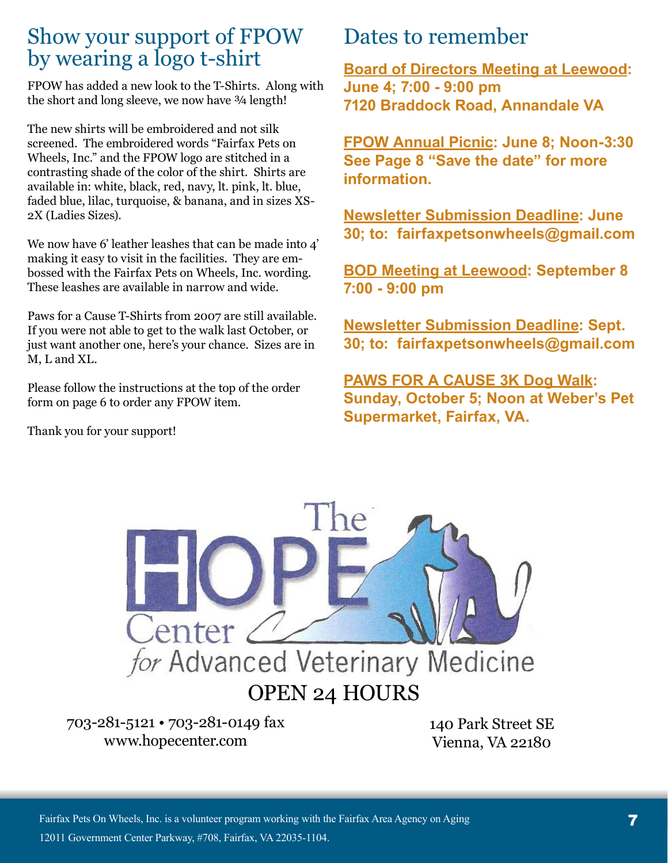### Show your support of FPOW by wearing a logo t-shirt

FPOW has added a new look to the T-Shirts. Along with the short and long sleeve, we now have  $\frac{3}{4}$  length!

The new shirts will be embroidered and not silk screened. The embroidered words "Fairfax Pets on Wheels, Inc." and the FPOW logo are stitched in a contrasting shade of the color of the shirt. Shirts are available in: white, black, red, navy, lt. pink, lt. blue, faded blue, lilac, turquoise, & banana, and in sizes XS-2X (Ladies Sizes).

We now have 6' leather leashes that can be made into 4' making it easy to visit in the facilities. They are embossed with the Fairfax Pets on Wheels, Inc. wording. These leashes are available in narrow and wide.

Paws for a Cause T-Shirts from 2007 are still available. If you were not able to get to the walk last October, or just want another one, here's your chance. Sizes are in M, L and XL.

Please follow the instructions at the top of the order form on page 6 to order any FPOW item.

Thank you for your support!

### Dates to remember

**Board of Directors Meeting at Leewood: June 4; 7:00 - 9:00 pm 7120 Braddock Road, Annandale VA**

**FPOW Annual Picnic: June 8; Noon-3:30 See Page 8 "Save the date" for more information.**

**Newsletter Submission Deadline: June 30; to: fairfaxpetsonwheels@gmail.com**

**BOD Meeting at Leewood: September 8 7:00 - 9:00 pm** 

**Newsletter Submission Deadline: Sept. 30; to: fairfaxpetsonwheels@gmail.com** 

**PAWS FOR A CAUSE 3K Dog Walk: Sunday, October 5; Noon at Weber's Pet Supermarket, Fairfax, VA.**



703-281-5121 • 703-281-0149 fax www.hopecenter.com

140 Park Street SE Vienna, VA 22180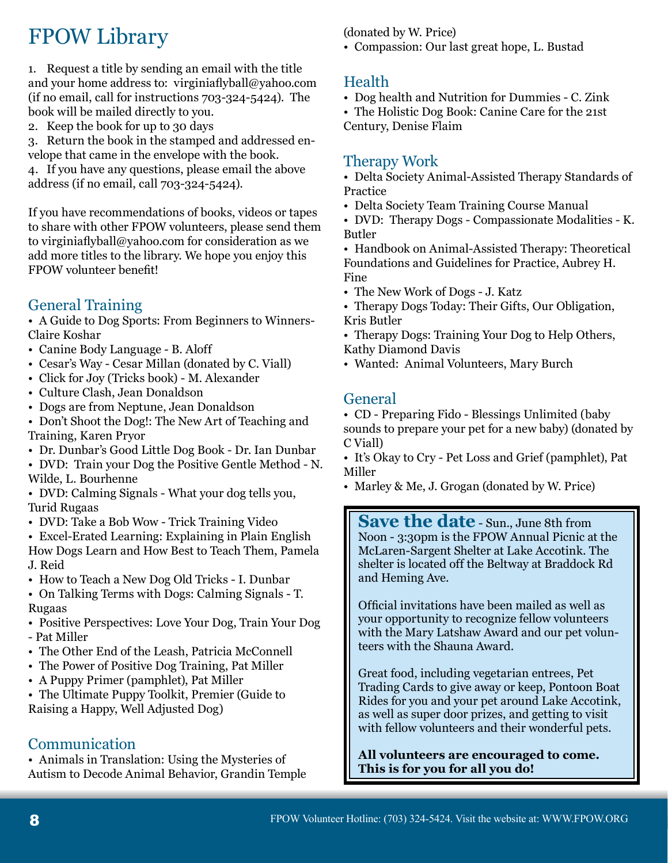## FPOW Library

1. Request a title by sending an email with the title and your home address to: virginiaflyball@yahoo.com (if no email, call for instructions 703-324-5424). The book will be mailed directly to you.

2. Keep the book for up to 30 days

3. Return the book in the stamped and addressed envelope that came in the envelope with the book. 4. If you have any questions, please email the above address (if no email, call 703-324-5424).

If you have recommendations of books, videos or tapes to share with other FPOW volunteers, please send them to virginiaflyball@yahoo.com for consideration as we add more titles to the library. We hope you enjoy this FPOW volunteer benefit!

### General Training

• A Guide to Dog Sports: From Beginners to Winners-Claire Koshar

- Canine Body Language B. Aloff
- Cesar's Way Cesar Millan (donated by C. Viall)
- Click for Joy (Tricks book) M. Alexander
- Culture Clash, Jean Donaldson
- Dogs are from Neptune, Jean Donaldson

• Don't Shoot the Dog!: The New Art of Teaching and Training, Karen Pryor

- Dr. Dunbar's Good Little Dog Book Dr. Ian Dunbar
- DVD: Train your Dog the Positive Gentle Method N. Wilde, L. Bourhenne

• DVD: Calming Signals - What your dog tells you, Turid Rugaas

• DVD: Take a Bob Wow - Trick Training Video

• Excel-Erated Learning: Explaining in Plain English

How Dogs Learn and How Best to Teach Them, Pamela J. Reid

• How to Teach a New Dog Old Tricks - I. Dunbar

• On Talking Terms with Dogs: Calming Signals - T. Rugaas

• Positive Perspectives: Love Your Dog, Train Your Dog - Pat Miller

- The Other End of the Leash, Patricia McConnell
- The Power of Positive Dog Training, Pat Miller
- A Puppy Primer (pamphlet), Pat Miller

• The Ultimate Puppy Toolkit, Premier (Guide to Raising a Happy, Well Adjusted Dog)

#### Communication

• Animals in Translation: Using the Mysteries of Autism to Decode Animal Behavior, Grandin Temple (donated by W. Price)

• Compassion: Our last great hope, L. Bustad

### Health

• Dog health and Nutrition for Dummies - C. Zink

• The Holistic Dog Book: Canine Care for the 21st

Century, Denise Flaim

#### Therapy Work

• Delta Society Animal-Assisted Therapy Standards of Practice

• Delta Society Team Training Course Manual

• DVD: Therapy Dogs - Compassionate Modalities - K. Butler

• Handbook on Animal-Assisted Therapy: Theoretical Foundations and Guidelines for Practice, Aubrey H. Fine

• The New Work of Dogs - J. Katz

• Therapy Dogs Today: Their Gifts, Our Obligation, Kris Butler

• Therapy Dogs: Training Your Dog to Help Others, Kathy Diamond Davis

• Wanted: Animal Volunteers, Mary Burch

#### **General**

• CD - Preparing Fido - Blessings Unlimited (baby sounds to prepare your pet for a new baby) (donated by C Viall)

• It's Okay to Cry - Pet Loss and Grief (pamphlet), Pat Miller

• Marley & Me, J. Grogan (donated by W. Price)

**Save the date** - Sun., June 8th from Noon - 3:30pm is the FPOW Annual Picnic at the McLaren-Sargent Shelter at Lake Accotink. The shelter is located off the Beltway at Braddock Rd and Heming Ave.

Official invitations have been mailed as well as your opportunity to recognize fellow volunteers with the Mary Latshaw Award and our pet volunteers with the Shauna Award.

Great food, including vegetarian entrees, Pet Trading Cards to give away or keep, Pontoon Boat Rides for you and your pet around Lake Accotink, as well as super door prizes, and getting to visit with fellow volunteers and their wonderful pets.

**All volunteers are encouraged to come. This is for you for all you do!**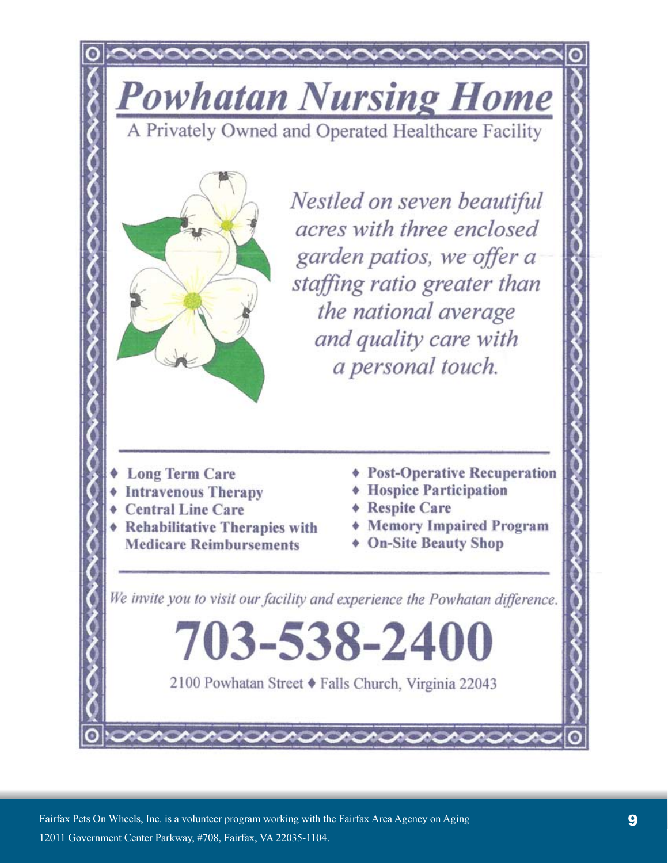**Powhatan Nursing Home** 

A Privately Owned and Operated Healthcare Facility



Nestled on seven beautiful acres with three enclosed garden patios, we offer a staffing ratio greater than the national average and quality care with a personal touch.

- **Long Term Care**
- **Intravenous Therapy**
- **Central Line Care**
- **Rehabilitative Therapies with Medicare Reimbursements**
- ♦ Post-Operative Recuperation
- **Hospice Participation**
- **Respite Care**
- **Memory Impaired Program**
- **On-Site Beauty Shop**

We invite you to visit our facility and experience the Powhatan difference.

703-538-2400

2100 Powhatan Street ♦ Falls Church, Virginia 22043